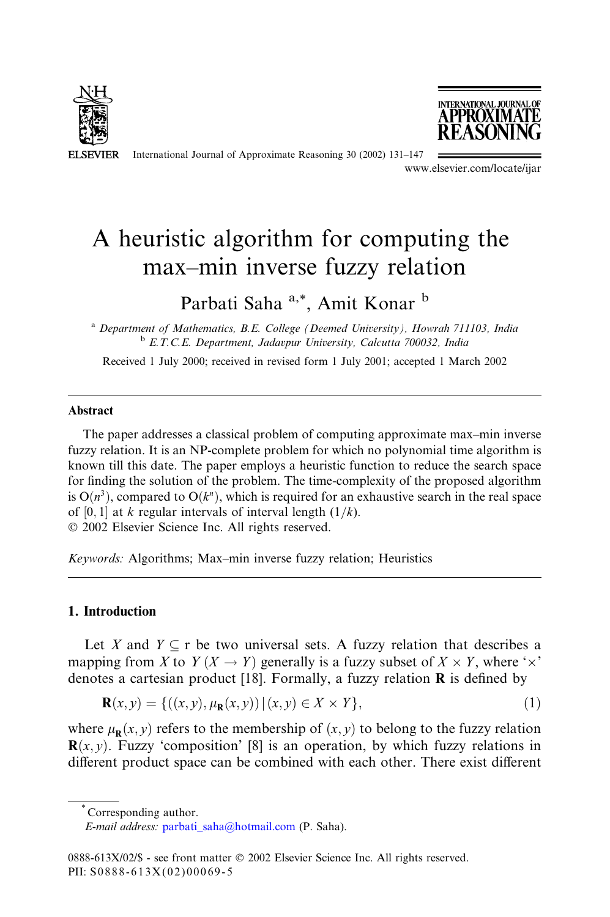

International Journal of Approximate Reasoning 30 (2002) 131–147



www.elsevier.com/locate/ijar

## A heuristic algorithm for computing the max–min inverse fuzzy relation

Parbati Saha<sup>a,\*</sup>, Amit Konar <sup>b</sup>

<sup>a</sup> Department of Mathematics, B.E. College (Deemed University), Howrah 711103, India <sup>b</sup> E.T.C.E. Department, Jadavpur University, Calcutta 700032, India

Received 1 July 2000; received in revised form 1 July 2001; accepted 1 March 2002

#### Abstract

The paper addresses a classical problem of computing approximate max–min inverse fuzzy relation. It is an NP-complete problem for which no polynomial time algorithm is known till this date. The paper employs a heuristic function to reduce the search space for finding the solution of the problem. The time-complexity of the proposed algorithm is  $O(n^3)$ , compared to  $O(k^n)$ , which is required for an exhaustive search in the real space of [0, 1] at k regular intervals of interval length  $(1/k)$ . 2002 Elsevier Science Inc. All rights reserved.

Keywords: Algorithms; Max–min inverse fuzzy relation; Heuristics

## 1. Introduction

Let X and  $Y \subseteq r$  be two universal sets. A fuzzy relation that describes a mapping from X to  $Y(X \to Y)$  generally is a fuzzy subset of  $X \times Y$ , where ' $\times$ ' denotes a cartesian product [18]. Formally, a fuzzy relation  $\bf{R}$  is defined by

$$
\mathbf{R}(x, y) = \{ ((x, y), \mu_{\mathbf{R}}(x, y)) | (x, y) \in X \times Y \},
$$
\n(1)

where  $\mu_{\mathbf{p}}(x, y)$  refers to the membership of  $(x, y)$  to belong to the fuzzy relation **. Fuzzy 'composition' [8] is an operation, by which fuzzy relations in** different product space can be combined with each other. There exist different

\* Corresponding author.

E-mail address: [parbati\\_saha@hotmail.com](mail to: parbati_saha@hotmail.com) (P. Saha).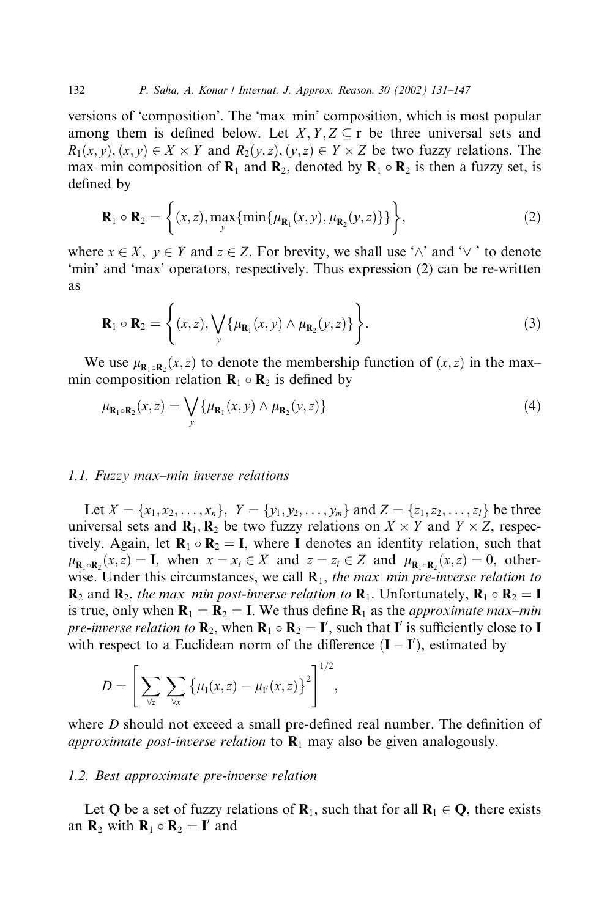versions of 'composition'. The 'max–min' composition, which is most popular among them is defined below. Let  $X, Y, Z \subseteq r$  be three universal sets and  $R_1(x, y), (x, y) \in X \times Y$  and  $R_2(y, z), (y, z) \in Y \times Z$  be two fuzzy relations. The max–min composition of  $\mathbf{R}_1$  and  $\mathbf{R}_2$ , denoted by  $\mathbf{R}_1 \circ \mathbf{R}_2$  is then a fuzzy set, is defined by

$$
\mathbf{R}_1 \circ \mathbf{R}_2 = \left\{ (x, z), \max_{\mathbf{y}} \{ \min \{ \mu_{\mathbf{R}_1}(x, y), \mu_{\mathbf{R}_2}(y, z) \} \} \right\},\tag{2}
$$

where  $x \in X$ ,  $y \in Y$  and  $z \in Z$ . For brevity, we shall use ' $\wedge$ ' and ' $\vee$ ' to denote 'min' and 'max' operators, respectively. Thus expression (2) can be re-written as

$$
\mathbf{R}_1 \circ \mathbf{R}_2 = \left\{ (x, z), \bigvee_{\mathbf{y}} \{ \mu_{\mathbf{R}_1}(x, y) \wedge \mu_{\mathbf{R}_2}(y, z) \} \right\}.
$$
 (3)

We use  $\mu_{\mathbf{R}_1 \circ \mathbf{R}_2}(x, z)$  to denote the membership function of  $(x, z)$  in the maxmin composition relation  $\mathbf{R}_1 \circ \mathbf{R}_2$  is defined by

$$
\mu_{\mathbf{R}_1 \circ \mathbf{R}_2}(x, z) = \bigvee_{\mathbf{y}} \{ \mu_{\mathbf{R}_1}(x, \mathbf{y}) \wedge \mu_{\mathbf{R}_2}(y, z) \}
$$
(4)

#### 1.1. Fuzzy max–min inverse relations

Let  $X = \{x_1, x_2, \ldots, x_n\}, Y = \{y_1, y_2, \ldots, y_m\}$  and  $Z = \{z_1, z_2, \ldots, z_i\}$  be three universal sets and  $\mathbf{R}_1, \mathbf{R}_2$  be two fuzzy relations on  $X \times Y$  and  $Y \times Z$ , respectively. Again, let  $\mathbf{R}_1 \circ \mathbf{R}_2 = \mathbf{I}$ , where I denotes an identity relation, such that  $\mu_{\mathbf{R}_1 \circ \mathbf{R}_2}(x, z) = \mathbf{I}$ , when  $x = x_i \in X$  and  $z = z_i \in Z$  and  $\mu_{\mathbf{R}_1 \circ \mathbf{R}_2}(x, z) = 0$ , otherwise. Under this circumstances, we call  $R_1$ , the max–min pre-inverse relation to  $\mathbf{R}_2$  and  $\mathbf{R}_2$ , the max-min post-inverse relation to  $\mathbf{R}_1$ . Unfortunately,  $\mathbf{R}_1 \circ \mathbf{R}_2 = \mathbf{I}$ is true, only when  $\mathbf{R}_1 = \mathbf{R}_2 = \mathbf{I}$ . We thus define  $\mathbf{R}_1$  as the *approximate max–min pre-inverse relation to*  $\mathbf{R}_2$ , when  $\mathbf{R}_1 \circ \mathbf{R}_2 = \mathbf{I}'$ , such that  $\mathbf{I}'$  is sufficiently close to  $\mathbf{I}'$ with respect to a Euclidean norm of the difference  $(I - I')$ , estimated by

$$
D = \left[ \sum_{\forall z} \sum_{\forall x} \left\{ \mu_I(x, z) - \mu_{I'}(x, z) \right\}^2 \right]^{1/2},
$$

where D should not exceed a small pre-defined real number. The definition of *approximate post-inverse relation* to  $\mathbf{R}_1$  may also be given analogously.

### 1.2. Best approximate pre-inverse relation

Let **Q** be a set of fuzzy relations of  $\mathbf{R}_1$ , such that for all  $\mathbf{R}_1 \in \mathbf{Q}$ , there exists an  $\mathbf{R}_2$  with  $\mathbf{R}_1 \circ \mathbf{R}_2 = \mathbf{I}'$  and